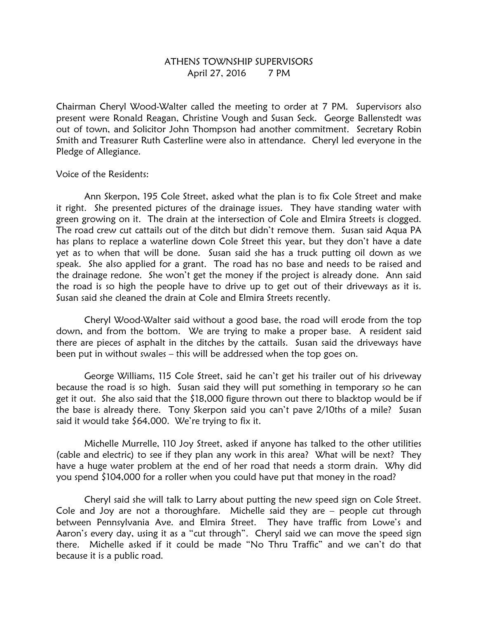## ATHENS TOWNSHIP SUPERVISORS April 27, 2016 7 PM

Chairman Cheryl Wood-Walter called the meeting to order at 7 PM. Supervisors also present were Ronald Reagan, Christine Vough and Susan Seck. George Ballenstedt was out of town, and Solicitor John Thompson had another commitment. Secretary Robin Smith and Treasurer Ruth Casterline were also in attendance. Cheryl led everyone in the Pledge of Allegiance.

Voice of the Residents:

 Ann Skerpon, 195 Cole Street, asked what the plan is to fix Cole Street and make it right. She presented pictures of the drainage issues. They have standing water with green growing on it. The drain at the intersection of Cole and Elmira Streets is clogged. The road crew cut cattails out of the ditch but didn't remove them. Susan said Aqua PA has plans to replace a waterline down Cole Street this year, but they don't have a date yet as to when that will be done. Susan said she has a truck putting oil down as we speak. She also applied for a grant. The road has no base and needs to be raised and the drainage redone. She won't get the money if the project is already done. Ann said the road is so high the people have to drive up to get out of their driveways as it is. Susan said she cleaned the drain at Cole and Elmira Streets recently.

 Cheryl Wood-Walter said without a good base, the road will erode from the top down, and from the bottom. We are trying to make a proper base. A resident said there are pieces of asphalt in the ditches by the cattails. Susan said the driveways have been put in without swales – this will be addressed when the top goes on.

 George Williams, 115 Cole Street, said he can't get his trailer out of his driveway because the road is so high. Susan said they will put something in temporary so he can get it out. She also said that the \$18,000 figure thrown out there to blacktop would be if the base is already there. Tony Skerpon said you can't pave 2/10ths of a mile? Susan said it would take \$64,000. We're trying to fix it.

 Michelle Murrelle, 110 Joy Street, asked if anyone has talked to the other utilities (cable and electric) to see if they plan any work in this area? What will be next? They have a huge water problem at the end of her road that needs a storm drain. Why did you spend \$104,000 for a roller when you could have put that money in the road?

 Cheryl said she will talk to Larry about putting the new speed sign on Cole Street. Cole and Joy are not a thoroughfare. Michelle said they are – people cut through between Pennsylvania Ave. and Elmira Street. They have traffic from Lowe's and Aaron's every day, using it as a "cut through". Cheryl said we can move the speed sign there. Michelle asked if it could be made "No Thru Traffic" and we can't do that because it is a public road.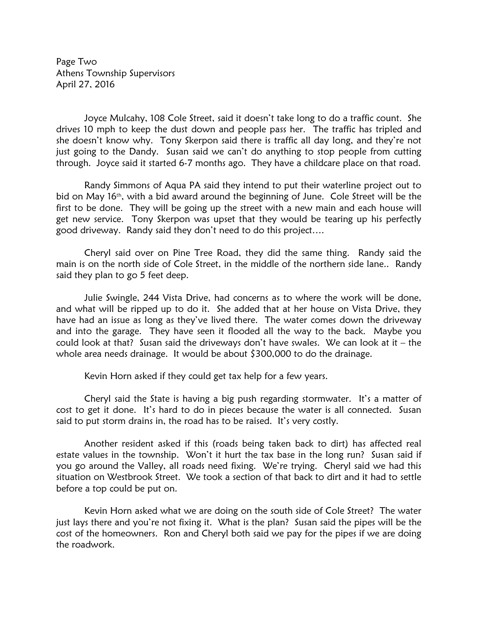Page Two Athens Township Supervisors April 27, 2016

Joyce Mulcahy, 108 Cole Street, said it doesn't take long to do a traffic count. She drives 10 mph to keep the dust down and people pass her. The traffic has tripled and she doesn't know why. Tony Skerpon said there is traffic all day long, and they're not just going to the Dandy. Susan said we can't do anything to stop people from cutting through. Joyce said it started 6-7 months ago. They have a childcare place on that road.

Randy Simmons of Aqua PA said they intend to put their waterline project out to bid on May 16<sup>th</sup>, with a bid award around the beginning of June. Cole Street will be the first to be done. They will be going up the street with a new main and each house will get new service. Tony Skerpon was upset that they would be tearing up his perfectly good driveway. Randy said they don't need to do this project….

Cheryl said over on Pine Tree Road, they did the same thing. Randy said the main is on the north side of Cole Street, in the middle of the northern side lane.. Randy said they plan to go 5 feet deep.

Julie Swingle, 244 Vista Drive, had concerns as to where the work will be done, and what will be ripped up to do it. She added that at her house on Vista Drive, they have had an issue as long as they've lived there. The water comes down the driveway and into the garage. They have seen it flooded all the way to the back. Maybe you could look at that? Susan said the driveways don't have swales. We can look at it – the whole area needs drainage. It would be about \$300,000 to do the drainage.

Kevin Horn asked if they could get tax help for a few years.

Cheryl said the State is having a big push regarding stormwater. It's a matter of cost to get it done. It's hard to do in pieces because the water is all connected. Susan said to put storm drains in, the road has to be raised. It's very costly.

Another resident asked if this (roads being taken back to dirt) has affected real estate values in the township. Won't it hurt the tax base in the long run? Susan said if you go around the Valley, all roads need fixing. We're trying. Cheryl said we had this situation on Westbrook Street. We took a section of that back to dirt and it had to settle before a top could be put on.

Kevin Horn asked what we are doing on the south side of Cole Street? The water just lays there and you're not fixing it. What is the plan? Susan said the pipes will be the cost of the homeowners. Ron and Cheryl both said we pay for the pipes if we are doing the roadwork.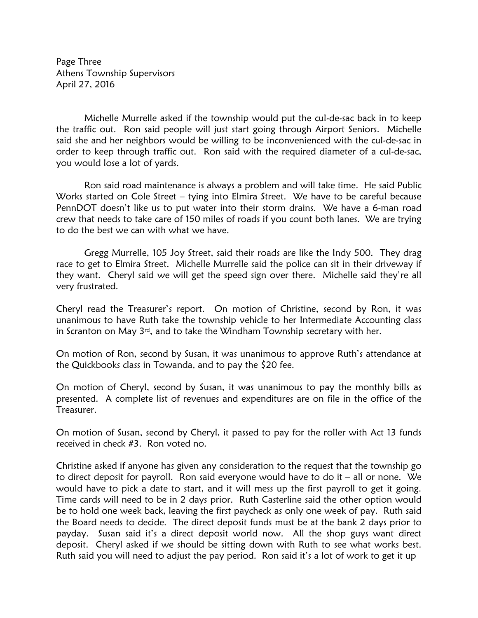Page Three Athens Township Supervisors April 27, 2016

 Michelle Murrelle asked if the township would put the cul-de-sac back in to keep the traffic out. Ron said people will just start going through Airport Seniors. Michelle said she and her neighbors would be willing to be inconvenienced with the cul-de-sac in order to keep through traffic out. Ron said with the required diameter of a cul-de-sac, you would lose a lot of yards.

 Ron said road maintenance is always a problem and will take time. He said Public Works started on Cole Street – tying into Elmira Street. We have to be careful because PennDOT doesn't like us to put water into their storm drains. We have a 6-man road crew that needs to take care of 150 miles of roads if you count both lanes. We are trying to do the best we can with what we have.

 Gregg Murrelle, 105 Joy Street, said their roads are like the Indy 500. They drag race to get to Elmira Street. Michelle Murrelle said the police can sit in their driveway if they want. Cheryl said we will get the speed sign over there. Michelle said they're all very frustrated.

Cheryl read the Treasurer's report. On motion of Christine, second by Ron, it was unanimous to have Ruth take the township vehicle to her Intermediate Accounting class in Scranton on May  $3^{rd}$ , and to take the Windham Township secretary with her.

On motion of Ron, second by Susan, it was unanimous to approve Ruth's attendance at the Quickbooks class in Towanda, and to pay the \$20 fee.

On motion of Cheryl, second by Susan, it was unanimous to pay the monthly bills as presented. A complete list of revenues and expenditures are on file in the office of the Treasurer.

On motion of Susan, second by Cheryl, it passed to pay for the roller with Act 13 funds received in check #3. Ron voted no.

Christine asked if anyone has given any consideration to the request that the township go to direct deposit for payroll. Ron said everyone would have to do it – all or none. We would have to pick a date to start, and it will mess up the first payroll to get it going. Time cards will need to be in 2 days prior. Ruth Casterline said the other option would be to hold one week back, leaving the first paycheck as only one week of pay. Ruth said the Board needs to decide. The direct deposit funds must be at the bank 2 days prior to payday. Susan said it's a direct deposit world now. All the shop guys want direct deposit. Cheryl asked if we should be sitting down with Ruth to see what works best. Ruth said you will need to adjust the pay period. Ron said it's a lot of work to get it up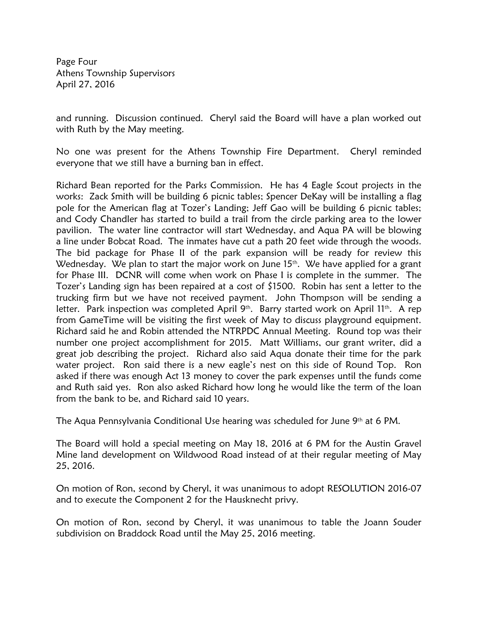Page Four Athens Township Supervisors April 27, 2016

and running. Discussion continued. Cheryl said the Board will have a plan worked out with Ruth by the May meeting.

No one was present for the Athens Township Fire Department. Cheryl reminded everyone that we still have a burning ban in effect.

Richard Bean reported for the Parks Commission. He has 4 Eagle Scout projects in the works: Zack Smith will be building 6 picnic tables; Spencer DeKay will be installing a flag pole for the American flag at Tozer's Landing; Jeff Gao will be building 6 picnic tables; and Cody Chandler has started to build a trail from the circle parking area to the lower pavilion. The water line contractor will start Wednesday, and Aqua PA will be blowing a line under Bobcat Road. The inmates have cut a path 20 feet wide through the woods. The bid package for Phase II of the park expansion will be ready for review this Wednesday. We plan to start the major work on June 15<sup>th</sup>. We have applied for a grant for Phase III. DCNR will come when work on Phase I is complete in the summer. The Tozer's Landing sign has been repaired at a cost of \$1500. Robin has sent a letter to the trucking firm but we have not received payment. John Thompson will be sending a letter. Park inspection was completed April 9<sup>th</sup>. Barry started work on April 11<sup>th</sup>. A rep from GameTime will be visiting the first week of May to discuss playground equipment. Richard said he and Robin attended the NTRPDC Annual Meeting. Round top was their number one project accomplishment for 2015. Matt Williams, our grant writer, did a great job describing the project. Richard also said Aqua donate their time for the park water project. Ron said there is a new eagle's nest on this side of Round Top. Ron asked if there was enough Act 13 money to cover the park expenses until the funds come and Ruth said yes. Ron also asked Richard how long he would like the term of the loan from the bank to be, and Richard said 10 years.

The Aqua Pennsylvania Conditional Use hearing was scheduled for June 9<sup>th</sup> at 6 PM.

The Board will hold a special meeting on May 18, 2016 at 6 PM for the Austin Gravel Mine land development on Wildwood Road instead of at their regular meeting of May 25, 2016.

On motion of Ron, second by Cheryl, it was unanimous to adopt RESOLUTION 2016-07 and to execute the Component 2 for the Hausknecht privy.

On motion of Ron, second by Cheryl, it was unanimous to table the Joann Souder subdivision on Braddock Road until the May 25, 2016 meeting.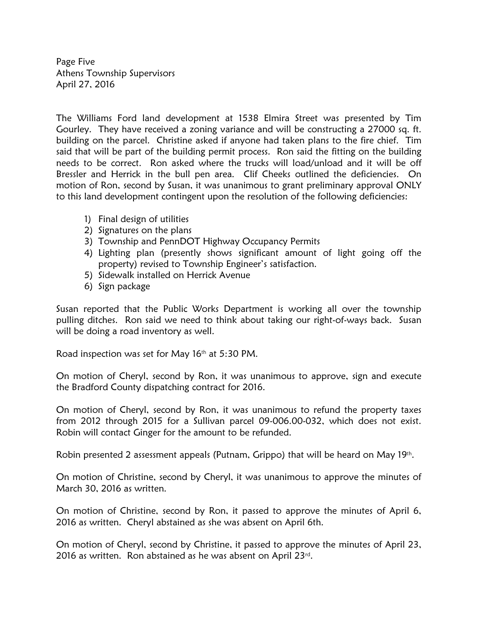Page Five Athens Township Supervisors April 27, 2016

The Williams Ford land development at 1538 Elmira Street was presented by Tim Gourley. They have received a zoning variance and will be constructing a 27000 sq. ft. building on the parcel. Christine asked if anyone had taken plans to the fire chief. Tim said that will be part of the building permit process. Ron said the fitting on the building needs to be correct. Ron asked where the trucks will load/unload and it will be off Bressler and Herrick in the bull pen area. Clif Cheeks outlined the deficiencies. On motion of Ron, second by Susan, it was unanimous to grant preliminary approval ONLY to this land development contingent upon the resolution of the following deficiencies:

- 1) Final design of utilities
- 2) Signatures on the plans
- 3) Township and PennDOT Highway Occupancy Permits
- 4) Lighting plan (presently shows significant amount of light going off the property) revised to Township Engineer's satisfaction.
- 5) Sidewalk installed on Herrick Avenue
- 6) Sign package

Susan reported that the Public Works Department is working all over the township pulling ditches. Ron said we need to think about taking our right-of-ways back. Susan will be doing a road inventory as well.

Road inspection was set for May 16th at 5:30 PM.

On motion of Cheryl, second by Ron, it was unanimous to approve, sign and execute the Bradford County dispatching contract for 2016.

On motion of Cheryl, second by Ron, it was unanimous to refund the property taxes from 2012 through 2015 for a Sullivan parcel 09-006.00-032, which does not exist. Robin will contact Ginger for the amount to be refunded.

Robin presented 2 assessment appeals (Putnam, Grippo) that will be heard on May 19<sup>th</sup>.

On motion of Christine, second by Cheryl, it was unanimous to approve the minutes of March 30, 2016 as written.

On motion of Christine, second by Ron, it passed to approve the minutes of April 6, 2016 as written. Cheryl abstained as she was absent on April 6th.

On motion of Cheryl, second by Christine, it passed to approve the minutes of April 23, 2016 as written. Ron abstained as he was absent on April 23rd.